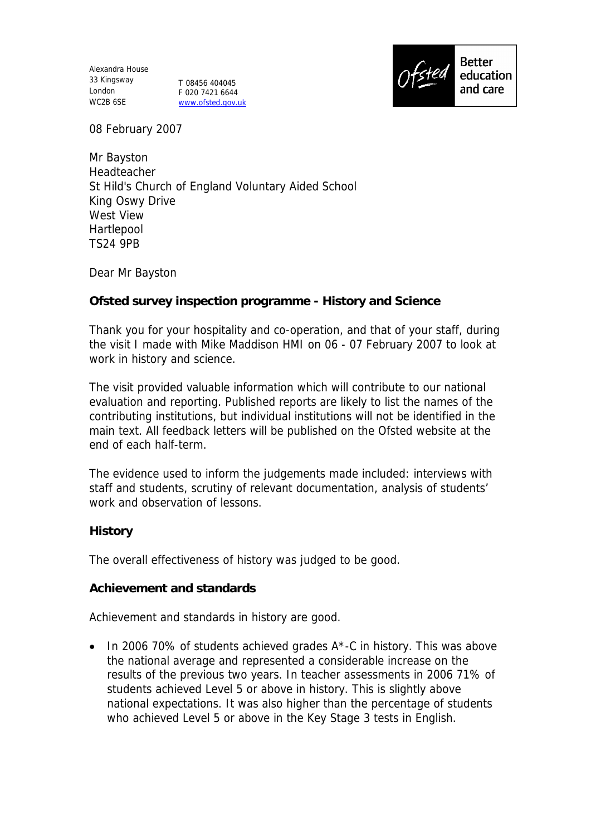Alexandra House 33 Kingsway London T 08456 404045 WC2B 6SE

F 020 7421 6644 www.ofsted.gov.uk



08 February 2007

Mr Bayston Headteacher St Hild's Church of England Voluntary Aided School King Oswy Drive West View Hartlepool TS24 9PB

Dear Mr Bayston

**Ofsted survey inspection programme - History and Science**

Thank you for your hospitality and co-operation, and that of your staff, during the visit I made with Mike Maddison HMI on 06 - 07 February 2007 to look at work in history and science.

The visit provided valuable information which will contribute to our national evaluation and reporting. Published reports are likely to list the names of the contributing institutions, but individual institutions will not be identified in the main text. All feedback letters will be published on the Ofsted website at the end of each half-term.

The evidence used to inform the judgements made included: interviews with staff and students, scrutiny of relevant documentation, analysis of students' work and observation of lessons.

**History**

The overall effectiveness of history was judged to be good.

**Achievement and standards**

Achievement and standards in history are good.

 $\bullet$  In 2006 70% of students achieved grades A\*-C in history. This was above the national average and represented a considerable increase on the results of the previous two years. In teacher assessments in 2006 71% of students achieved Level 5 or above in history. This is slightly above national expectations. It was also higher than the percentage of students who achieved Level 5 or above in the Key Stage 3 tests in English.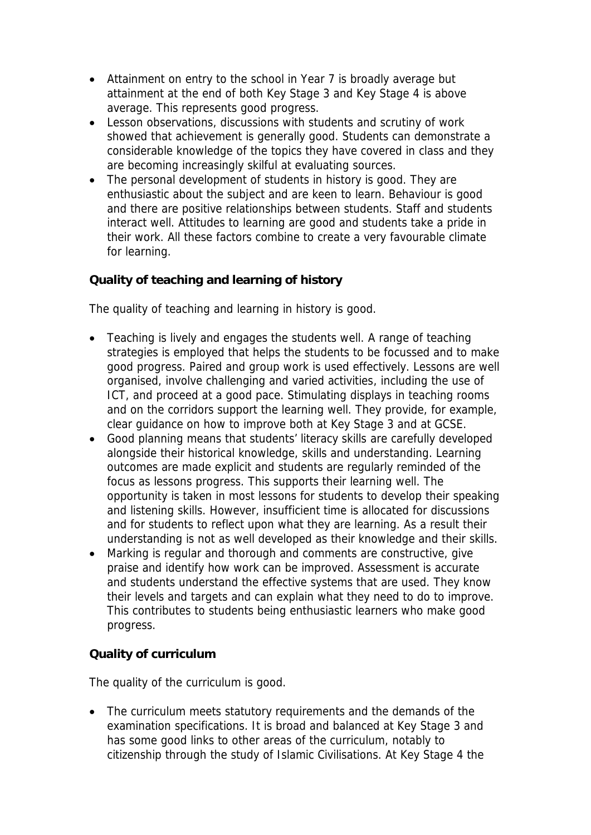- Attainment on entry to the school in Year 7 is broadly average but attainment at the end of both Key Stage 3 and Key Stage 4 is above average. This represents good progress.
- Lesson observations, discussions with students and scrutiny of work showed that achievement is generally good. Students can demonstrate a considerable knowledge of the topics they have covered in class and they are becoming increasingly skilful at evaluating sources.
- The personal development of students in history is good. They are enthusiastic about the subject and are keen to learn. Behaviour is good and there are positive relationships between students. Staff and students interact well. Attitudes to learning are good and students take a pride in their work. All these factors combine to create a very favourable climate for learning.

## **Quality of teaching and learning of history**

The quality of teaching and learning in history is good.

- Teaching is lively and engages the students well. A range of teaching strategies is employed that helps the students to be focussed and to make good progress. Paired and group work is used effectively. Lessons are well organised, involve challenging and varied activities, including the use of ICT, and proceed at a good pace. Stimulating displays in teaching rooms and on the corridors support the learning well. They provide, for example, clear guidance on how to improve both at Key Stage 3 and at GCSE.
- Good planning means that students' literacy skills are carefully developed alongside their historical knowledge, skills and understanding. Learning outcomes are made explicit and students are regularly reminded of the focus as lessons progress. This supports their learning well. The opportunity is taken in most lessons for students to develop their speaking and listening skills. However, insufficient time is allocated for discussions and for students to reflect upon what they are learning. As a result their understanding is not as well developed as their knowledge and their skills.
- Marking is regular and thorough and comments are constructive, give praise and identify how work can be improved. Assessment is accurate and students understand the effective systems that are used. They know their levels and targets and can explain what they need to do to improve. This contributes to students being enthusiastic learners who make good progress.

## **Quality of curriculum**

The quality of the curriculum is good.

• The curriculum meets statutory requirements and the demands of the examination specifications. It is broad and balanced at Key Stage 3 and has some good links to other areas of the curriculum, notably to citizenship through the study of Islamic Civilisations. At Key Stage 4 the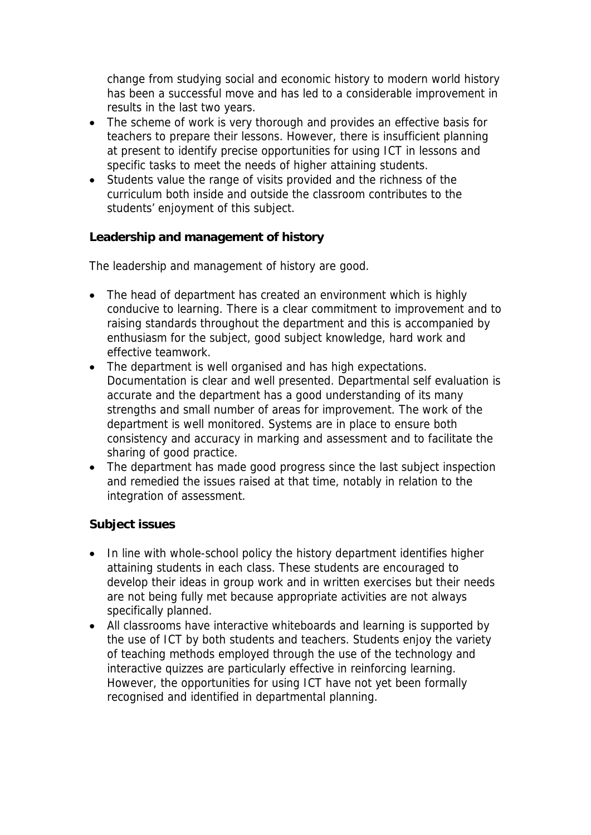change from studying social and economic history to modern world history has been a successful move and has led to a considerable improvement in results in the last two years.

- The scheme of work is very thorough and provides an effective basis for teachers to prepare their lessons. However, there is insufficient planning at present to identify precise opportunities for using ICT in lessons and specific tasks to meet the needs of higher attaining students.
- Students value the range of visits provided and the richness of the curriculum both inside and outside the classroom contributes to the students' enjoyment of this subject.

**Leadership and management of history**

The leadership and management of history are good.

- The head of department has created an environment which is highly conducive to learning. There is a clear commitment to improvement and to raising standards throughout the department and this is accompanied by enthusiasm for the subject, good subject knowledge, hard work and effective teamwork.
- The department is well organised and has high expectations. Documentation is clear and well presented. Departmental self evaluation is accurate and the department has a good understanding of its many strengths and small number of areas for improvement. The work of the department is well monitored. Systems are in place to ensure both consistency and accuracy in marking and assessment and to facilitate the sharing of good practice.
- The department has made good progress since the last subject inspection and remedied the issues raised at that time, notably in relation to the integration of assessment.

## **Subject issues**

- In line with whole-school policy the history department identifies higher attaining students in each class. These students are encouraged to develop their ideas in group work and in written exercises but their needs are not being fully met because appropriate activities are not always specifically planned.
- All classrooms have interactive whiteboards and learning is supported by the use of ICT by both students and teachers. Students enjoy the variety of teaching methods employed through the use of the technology and interactive quizzes are particularly effective in reinforcing learning. However, the opportunities for using ICT have not yet been formally recognised and identified in departmental planning.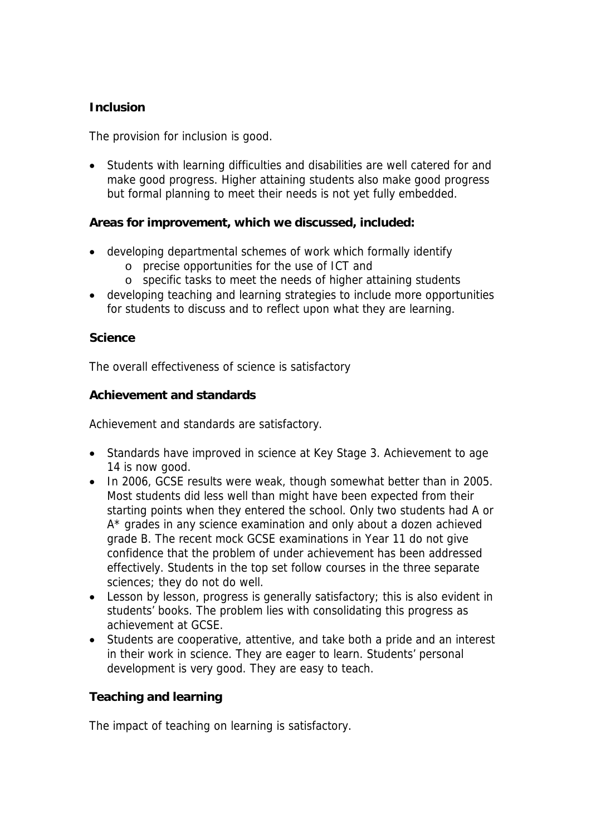### **Inclusion**

The provision for inclusion is good.

 Students with learning difficulties and disabilities are well catered for and make good progress. Higher attaining students also make good progress but formal planning to meet their needs is not yet fully embedded.

**Areas for improvement, which we discussed, included:**

- developing departmental schemes of work which formally identify
	- o precise opportunities for the use of ICT and
	- o specific tasks to meet the needs of higher attaining students
- developing teaching and learning strategies to include more opportunities for students to discuss and to reflect upon what they are learning.

#### **Science**

The overall effectiveness of science is satisfactory

**Achievement and standards**

Achievement and standards are satisfactory.

- Standards have improved in science at Key Stage 3. Achievement to age 14 is now good.
- In 2006, GCSE results were weak, though somewhat better than in 2005. Most students did less well than might have been expected from their starting points when they entered the school. Only two students had A or A\* grades in any science examination and only about a dozen achieved grade B. The recent mock GCSE examinations in Year 11 do not give confidence that the problem of under achievement has been addressed effectively. Students in the top set follow courses in the three separate sciences; they do not do well.
- Lesson by lesson, progress is generally satisfactory; this is also evident in students' books. The problem lies with consolidating this progress as achievement at GCSE.
- Students are cooperative, attentive, and take both a pride and an interest in their work in science. They are eager to learn. Students' personal development is very good. They are easy to teach.

**Teaching and learning**

The impact of teaching on learning is satisfactory.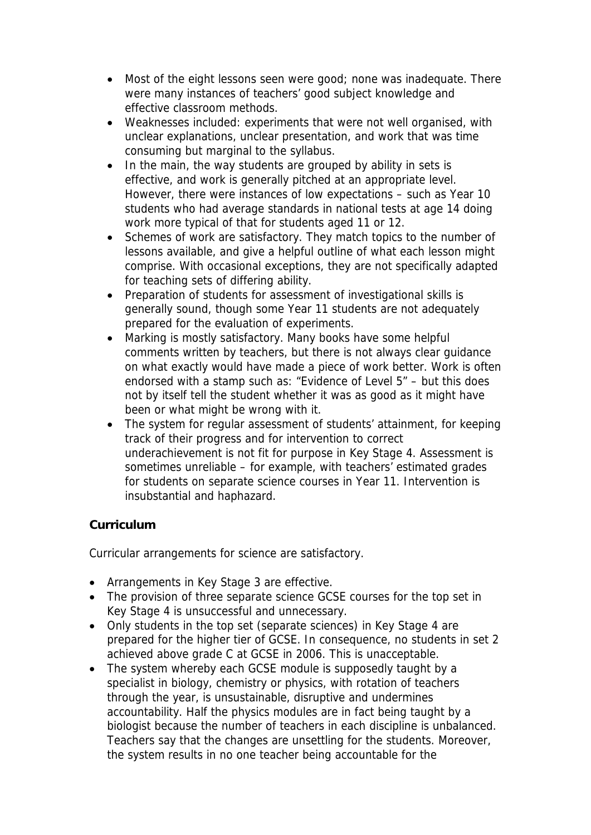- Most of the eight lessons seen were good; none was inadequate. There were many instances of teachers' good subject knowledge and effective classroom methods.
- Weaknesses included: experiments that were not well organised, with unclear explanations, unclear presentation, and work that was time consuming but marginal to the syllabus.
- In the main, the way students are grouped by ability in sets is effective, and work is generally pitched at an appropriate level. However, there were instances of low expectations – such as Year 10 students who had average standards in national tests at age 14 doing work more typical of that for students aged 11 or 12.
- Schemes of work are satisfactory. They match topics to the number of lessons available, and give a helpful outline of what each lesson might comprise. With occasional exceptions, they are not specifically adapted for teaching sets of differing ability.
- Preparation of students for assessment of investigational skills is generally sound, though some Year 11 students are not adequately prepared for the evaluation of experiments.
- Marking is mostly satisfactory. Many books have some helpful comments written by teachers, but there is not always clear guidance on what exactly would have made a piece of work better. Work is often endorsed with a stamp such as: "Evidence of Level 5" – but this does not by itself tell the student whether it was as good as it might have been or what might be wrong with it.
- The system for regular assessment of students' attainment, for keeping track of their progress and for intervention to correct underachievement is not fit for purpose in Key Stage 4. Assessment is sometimes unreliable – for example, with teachers' estimated grades for students on separate science courses in Year 11. Intervention is insubstantial and haphazard.

## **Curriculum**

Curricular arrangements for science are satisfactory.

- Arrangements in Key Stage 3 are effective.
- The provision of three separate science GCSE courses for the top set in Key Stage 4 is unsuccessful and unnecessary.
- Only students in the top set (separate sciences) in Key Stage 4 are prepared for the higher tier of GCSE. In consequence, no students in set 2 achieved above grade C at GCSE in 2006. This is unacceptable.
- The system whereby each GCSE module is supposedly taught by a specialist in biology, chemistry or physics, with rotation of teachers through the year, is unsustainable, disruptive and undermines accountability. Half the physics modules are in fact being taught by a biologist because the number of teachers in each discipline is unbalanced. Teachers say that the changes are unsettling for the students. Moreover, the system results in no one teacher being accountable for the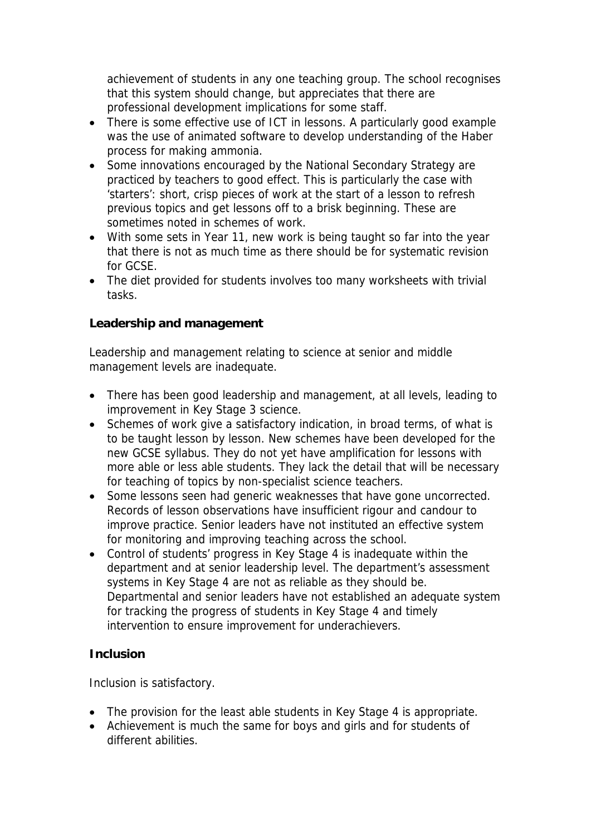achievement of students in any one teaching group. The school recognises that this system should change, but appreciates that there are professional development implications for some staff.

- There is some effective use of ICT in lessons. A particularly good example was the use of animated software to develop understanding of the Haber process for making ammonia.
- Some innovations encouraged by the National Secondary Strategy are practiced by teachers to good effect. This is particularly the case with 'starters': short, crisp pieces of work at the start of a lesson to refresh previous topics and get lessons off to a brisk beginning. These are sometimes noted in schemes of work.
- With some sets in Year 11, new work is being taught so far into the year that there is not as much time as there should be for systematic revision for GCSE.
- The diet provided for students involves too many worksheets with trivial tasks.

# **Leadership and management**

Leadership and management relating to science at senior and middle management levels are inadequate.

- There has been good leadership and management, at all levels, leading to improvement in Key Stage 3 science.
- Schemes of work give a satisfactory indication, in broad terms, of what is to be taught lesson by lesson. New schemes have been developed for the new GCSE syllabus. They do not yet have amplification for lessons with more able or less able students. They lack the detail that will be necessary for teaching of topics by non-specialist science teachers.
- Some lessons seen had generic weaknesses that have gone uncorrected. Records of lesson observations have insufficient rigour and candour to improve practice. Senior leaders have not instituted an effective system for monitoring and improving teaching across the school.
- Control of students' progress in Key Stage 4 is inadequate within the department and at senior leadership level. The department's assessment systems in Key Stage 4 are not as reliable as they should be. Departmental and senior leaders have not established an adequate system for tracking the progress of students in Key Stage 4 and timely intervention to ensure improvement for underachievers.

## **Inclusion**

Inclusion is satisfactory.

- The provision for the least able students in Key Stage 4 is appropriate.
- Achievement is much the same for boys and girls and for students of different abilities.